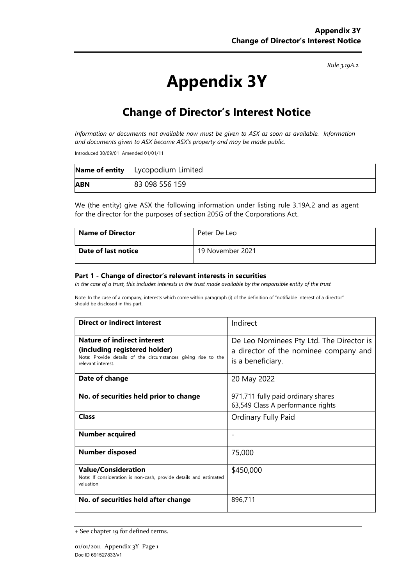Rule 3.19A.2

# Appendix 3Y

## Change of Director's Interest Notice

Information or documents not available now must be given to ASX as soon as available. Information and documents given to ASX become ASX's property and may be made public.

Introduced 30/09/01 Amended 01/01/11

|            | <b>Name of entity</b> Lycopodium Limited |
|------------|------------------------------------------|
| <b>ABN</b> | 83 098 556 159                           |

We (the entity) give ASX the following information under listing rule 3.19A.2 and as agent for the director for the purposes of section 205G of the Corporations Act.

| <b>Name of Director</b> | Peter De Leo     |
|-------------------------|------------------|
| Date of last notice     | 19 November 2021 |

#### Part 1 - Change of director's relevant interests in securities

In the case of a trust, this includes interests in the trust made available by the responsible entity of the trust

Note: In the case of a company, interests which come within paragraph (i) of the definition of "notifiable interest of a director" should be disclosed in this part.

| <b>Direct or indirect interest</b>                                                                                                                         | Indirect                                                                                               |  |
|------------------------------------------------------------------------------------------------------------------------------------------------------------|--------------------------------------------------------------------------------------------------------|--|
| <b>Nature of indirect interest</b><br>(including registered holder)<br>Note: Provide details of the circumstances giving rise to the<br>relevant interest. | De Leo Nominees Pty Ltd. The Director is<br>a director of the nominee company and<br>is a beneficiary. |  |
| Date of change                                                                                                                                             | 20 May 2022                                                                                            |  |
| No. of securities held prior to change                                                                                                                     | 971,711 fully paid ordinary shares<br>63,549 Class A performance rights                                |  |
| Class                                                                                                                                                      | Ordinary Fully Paid                                                                                    |  |
| <b>Number acquired</b>                                                                                                                                     |                                                                                                        |  |
| <b>Number disposed</b>                                                                                                                                     | 75,000                                                                                                 |  |
| <b>Value/Consideration</b><br>Note: If consideration is non-cash, provide details and estimated<br>valuation                                               | \$450,000                                                                                              |  |
| No. of securities held after change                                                                                                                        | 896,711                                                                                                |  |

<sup>+</sup> See chapter 19 for defined terms.